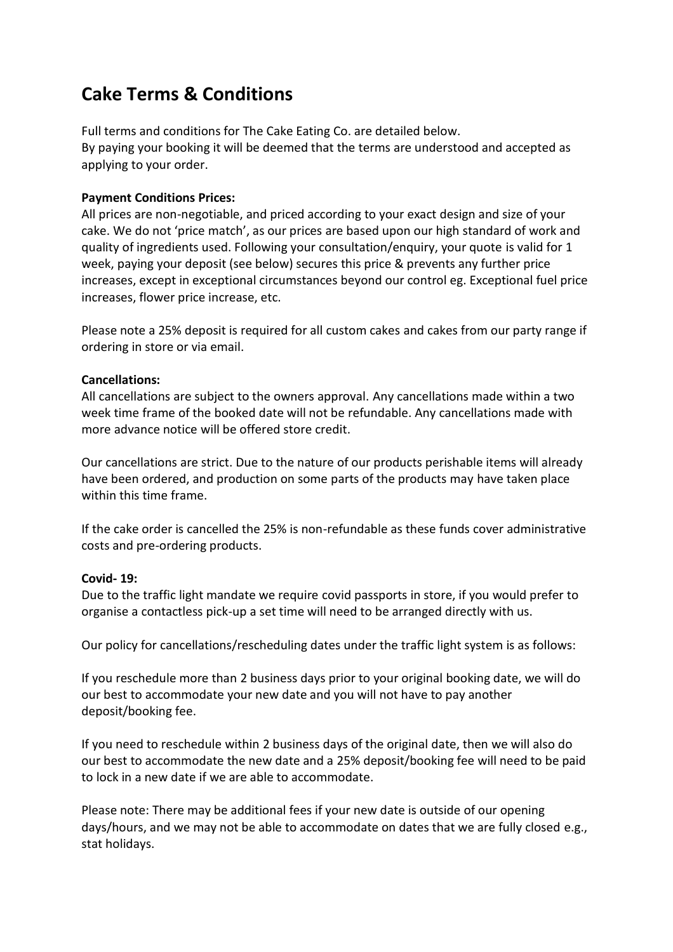# **Cake Terms & Conditions**

Full terms and conditions for The Cake Eating Co. are detailed below. By paying your booking it will be deemed that the terms are understood and accepted as applying to your order.

## **Payment Conditions Prices:**

All prices are non-negotiable, and priced according to your exact design and size of your cake. We do not 'price match', as our prices are based upon our high standard of work and quality of ingredients used. Following your consultation/enquiry, your quote is valid for 1 week, paying your deposit (see below) secures this price & prevents any further price increases, except in exceptional circumstances beyond our control eg. Exceptional fuel price increases, flower price increase, etc.

Please note a 25% deposit is required for all custom cakes and cakes from our party range if ordering in store or via email.

#### **Cancellations:**

All cancellations are subject to the owners approval. Any cancellations made within a two week time frame of the booked date will not be refundable. Any cancellations made with more advance notice will be offered store credit.

Our cancellations are strict. Due to the nature of our products perishable items will already have been ordered, and production on some parts of the products may have taken place within this time frame.

If the cake order is cancelled the 25% is non-refundable as these funds cover administrative costs and pre-ordering products.

#### **Covid- 19:**

Due to the traffic light mandate we require covid passports in store, if you would prefer to organise a contactless pick-up a set time will need to be arranged directly with us.

Our policy for cancellations/rescheduling dates under the traffic light system is as follows:

If you reschedule more than 2 business days prior to your original booking date, we will do our best to accommodate your new date and you will not have to pay another deposit/booking fee.

If you need to reschedule within 2 business days of the original date, then we will also do our best to accommodate the new date and a 25% deposit/booking fee will need to be paid to lock in a new date if we are able to accommodate.

Please note: There may be additional fees if your new date is outside of our opening days/hours, and we may not be able to accommodate on dates that we are fully closed e.g., stat holidays.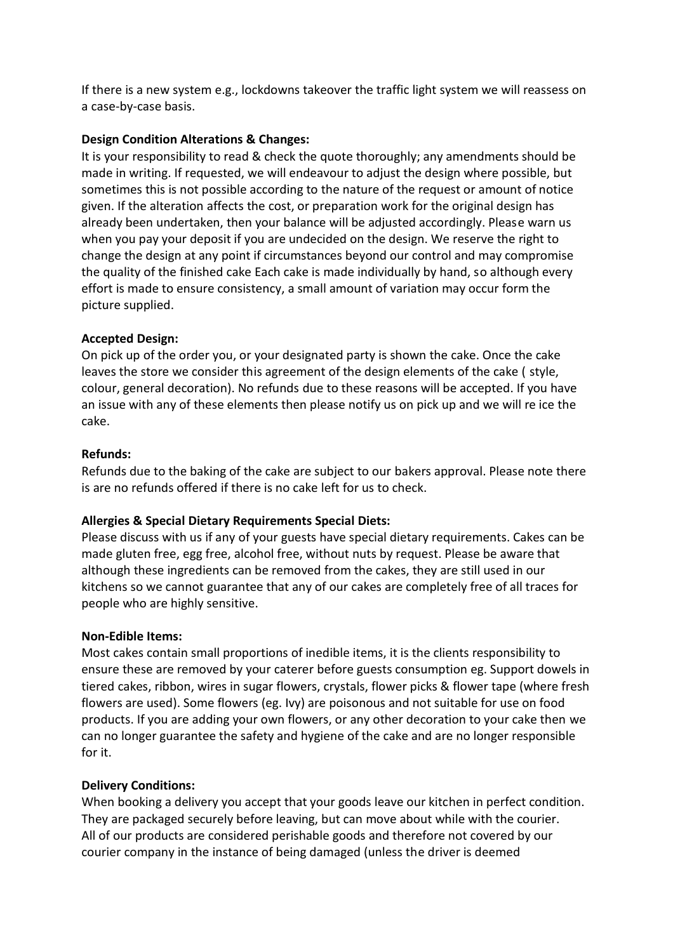If there is a new system e.g., lockdowns takeover the traffic light system we will reassess on a case-by-case basis.

## **Design Condition Alterations & Changes:**

It is your responsibility to read & check the quote thoroughly; any amendments should be made in writing. If requested, we will endeavour to adjust the design where possible, but sometimes this is not possible according to the nature of the request or amount of notice given. If the alteration affects the cost, or preparation work for the original design has already been undertaken, then your balance will be adjusted accordingly. Please warn us when you pay your deposit if you are undecided on the design. We reserve the right to change the design at any point if circumstances beyond our control and may compromise the quality of the finished cake Each cake is made individually by hand, so although every effort is made to ensure consistency, a small amount of variation may occur form the picture supplied.

## **Accepted Design:**

On pick up of the order you, or your designated party is shown the cake. Once the cake leaves the store we consider this agreement of the design elements of the cake ( style, colour, general decoration). No refunds due to these reasons will be accepted. If you have an issue with any of these elements then please notify us on pick up and we will re ice the cake.

## **Refunds:**

Refunds due to the baking of the cake are subject to our bakers approval. Please note there is are no refunds offered if there is no cake left for us to check.

#### **Allergies & Special Dietary Requirements Special Diets:**

Please discuss with us if any of your guests have special dietary requirements. Cakes can be made gluten free, egg free, alcohol free, without nuts by request. Please be aware that although these ingredients can be removed from the cakes, they are still used in our kitchens so we cannot guarantee that any of our cakes are completely free of all traces for people who are highly sensitive.

#### **Non-Edible Items:**

Most cakes contain small proportions of inedible items, it is the clients responsibility to ensure these are removed by your caterer before guests consumption eg. Support dowels in tiered cakes, ribbon, wires in sugar flowers, crystals, flower picks & flower tape (where fresh flowers are used). Some flowers (eg. Ivy) are poisonous and not suitable for use on food products. If you are adding your own flowers, or any other decoration to your cake then we can no longer guarantee the safety and hygiene of the cake and are no longer responsible for it.

#### **Delivery Conditions:**

When booking a delivery you accept that your goods leave our kitchen in perfect condition. They are packaged securely before leaving, but can move about while with the courier. All of our products are considered perishable goods and therefore not covered by our courier company in the instance of being damaged (unless the driver is deemed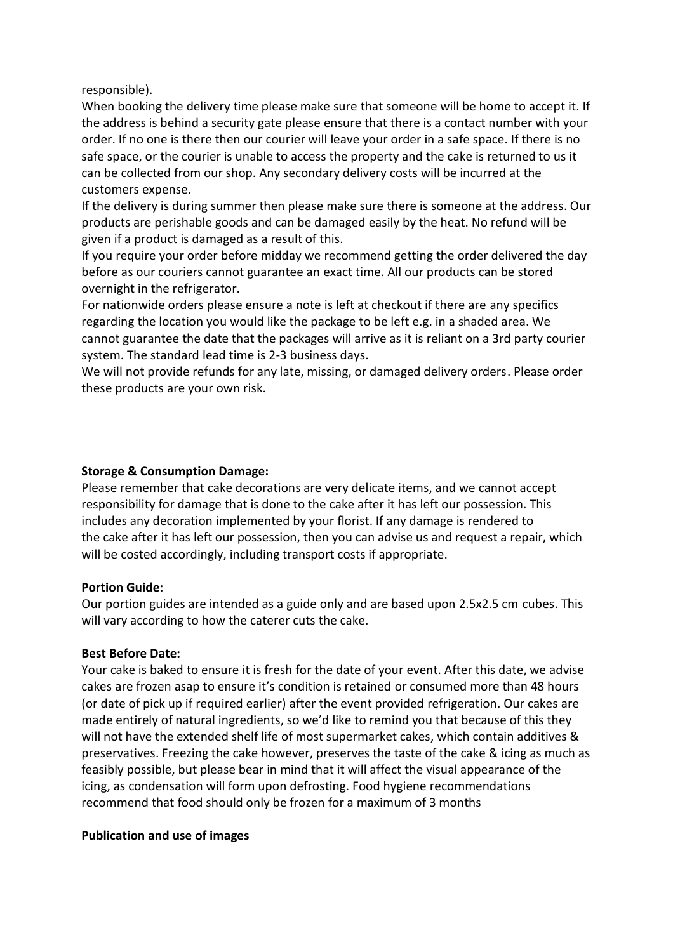responsible).

When booking the delivery time please make sure that someone will be home to accept it. If the address is behind a security gate please ensure that there is a contact number with your order. If no one is there then our courier will leave your order in a safe space. If there is no safe space, or the courier is unable to access the property and the cake is returned to us it can be collected from our shop. Any secondary delivery costs will be incurred at the customers expense.

If the delivery is during summer then please make sure there is someone at the address. Our products are perishable goods and can be damaged easily by the heat. No refund will be given if a product is damaged as a result of this.

If you require your order before midday we recommend getting the order delivered the day before as our couriers cannot guarantee an exact time. All our products can be stored overnight in the refrigerator.

For nationwide orders please ensure a note is left at checkout if there are any specifics regarding the location you would like the package to be left e.g. in a shaded area. We cannot guarantee the date that the packages will arrive as it is reliant on a 3rd party courier system. The standard lead time is 2-3 business days.

We will not provide refunds for any late, missing, or damaged delivery orders. Please order these products are your own risk.

## **Storage & Consumption Damage:**

Please remember that cake decorations are very delicate items, and we cannot accept responsibility for damage that is done to the cake after it has left our possession. This includes any decoration implemented by your florist. If any damage is rendered to the cake after it has left our possession, then you can advise us and request a repair, which will be costed accordingly, including transport costs if appropriate.

# **Portion Guide:**

Our portion guides are intended as a guide only and are based upon 2.5x2.5 cm cubes. This will vary according to how the caterer cuts the cake.

# **Best Before Date:**

Your cake is baked to ensure it is fresh for the date of your event. After this date, we advise cakes are frozen asap to ensure it's condition is retained or consumed more than 48 hours (or date of pick up if required earlier) after the event provided refrigeration. Our cakes are made entirely of natural ingredients, so we'd like to remind you that because of this they will not have the extended shelf life of most supermarket cakes, which contain additives & preservatives. Freezing the cake however, preserves the taste of the cake & icing as much as feasibly possible, but please bear in mind that it will affect the visual appearance of the icing, as condensation will form upon defrosting. Food hygiene recommendations recommend that food should only be frozen for a maximum of 3 months

#### **Publication and use of images**